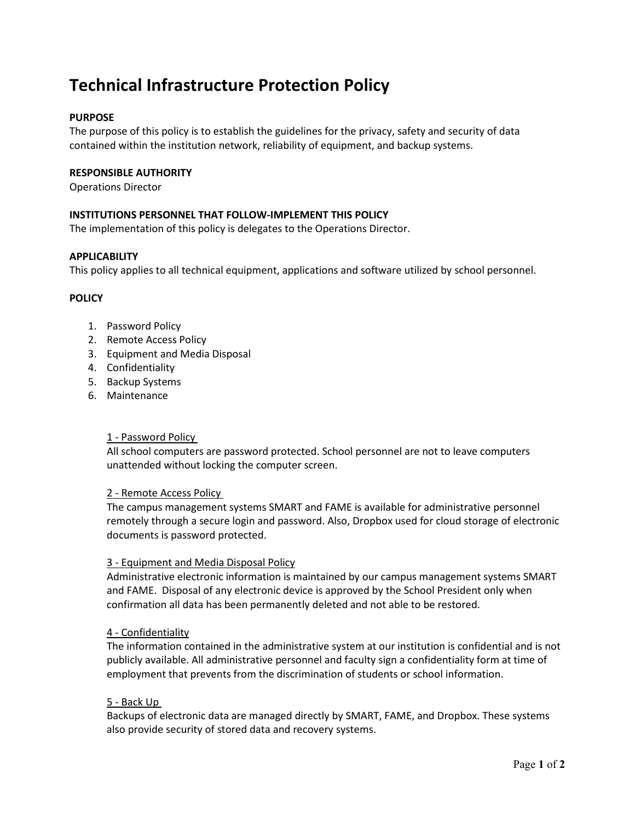# **Technical Infrastructure Protection Policy**

# **PURPOSE**

The purpose of this policy is to establish the guidelines for the privacy, safety and security of data contained within the institution network, reliability of equipment, and backup systems.

## **RESPONSIBLE AUTHORITY**

Operations Director

# **INSTITUTIONS PERSONNEL THAT FOLLOW-IMPLEMENT THIS POLICY**

The implementation of this policy is delegates to the Operations Director.

## **APPLICABILITY**

This policy applies to all technical equipment, applications and software utilized by school personnel.

## **POLICY**

- 1. Password Policy
- 2. Remote Access Policy
- 3. Equipment and Media Disposal
- 4. Confidentiality
- 5. Backup Systems
- 6. Maintenance

#### 1 - Password Policy

All school computers are password protected. School personnel are not to leave computers unattended without locking the computer screen.

#### 2 - Remote Access Policy

The campus management systems SMART and FAME is available for administrative personnel remotely through a secure login and password. Also, Dropbox used for cloud storage of electronic documents is password protected.

#### 3 - Equipment and Media Disposal Policy

Administrative electronic information is maintained by our campus management systems SMART and FAME. Disposal of any electronic device is approved by the School President only when confirmation all data has been permanently deleted and not able to be restored.

# 4 - Confidentiality

The information contained in the administrative system at our institution is confidential and is not publicly available. All administrative personnel and faculty sign a confidentiality form at time of employment that prevents from the discrimination of students or school information.

#### 5 - Back Up

Backups of electronic data are managed directly by SMART, FAME, and Dropbox. These systems also provide security of stored data and recovery systems.